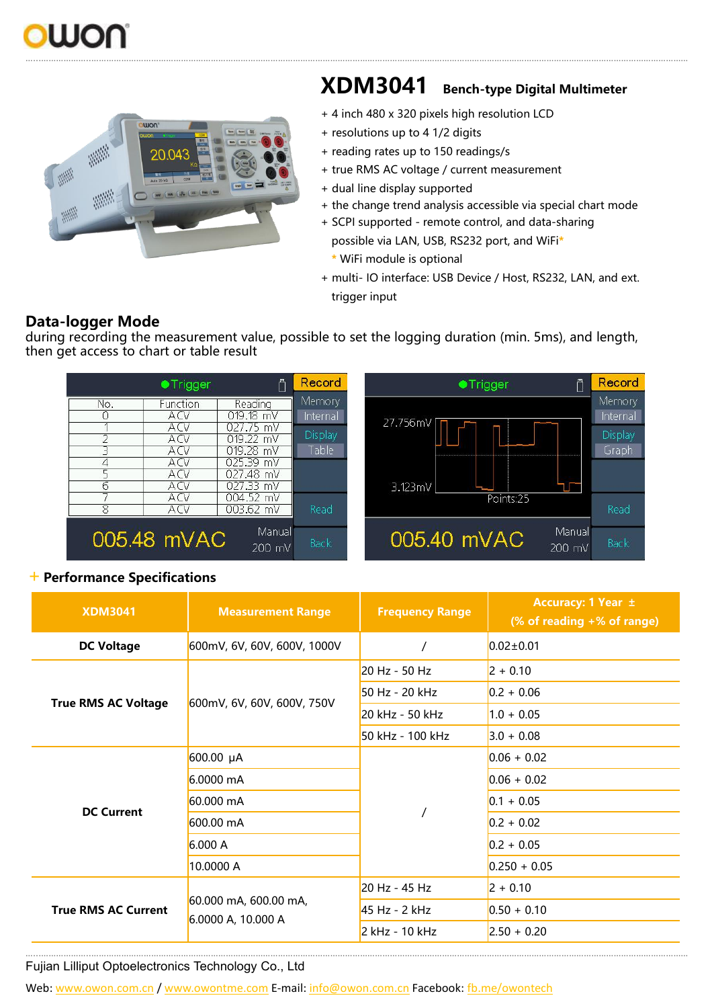



## **XDM3041 Bench-type Digital Multimeter**

- + 4 inch 480 x 320 pixels high resolution LCD
- + resolutions up to 41/2 digits
- + reading rates up to 150 readings/s
- + true RMS AC voltage / current measurement
- + dual line display supported
- + the change trend analysis accessible via special chart mode
- + SCPI supported remote control, and data-sharing possible via LAN, USB, RS232 port, and WiFi**\* \*** WiFi module is optional
- + multi- IO interface: USB Device / Host, RS232, LAN, and ext. trigger input

## **Data-logger Mode**

during recording the measurement value, possible to set the logging duration (min. 5ms), and length, then get access to chart or table result



## +**Performance Specifications**

| <b>XDM3041</b>             | <b>Measurement Range</b>                    | <b>Frequency Range</b> | Accuracy: 1 Year ±<br>(% of reading +% of range) |
|----------------------------|---------------------------------------------|------------------------|--------------------------------------------------|
| <b>DC Voltage</b>          | 600mV, 6V, 60V, 600V, 1000V                 |                        | $0.02 \pm 0.01$                                  |
|                            | 600mV, 6V, 60V, 600V, 750V                  | 20 Hz - 50 Hz          | $2 + 0.10$                                       |
| <b>True RMS AC Voltage</b> |                                             | 50 Hz - 20 kHz         | $0.2 + 0.06$                                     |
|                            |                                             | 20 kHz - 50 kHz        | $1.0 + 0.05$                                     |
|                            |                                             | 50 kHz - 100 kHz       | $3.0 + 0.08$                                     |
| <b>DC Current</b>          | 600.00 µA                                   |                        | $0.06 + 0.02$                                    |
|                            | 6.0000 mA                                   |                        | $0.06 + 0.02$                                    |
|                            | 60.000 mA                                   |                        | $0.1 + 0.05$                                     |
|                            | 600.00 mA                                   |                        | $0.2 + 0.02$                                     |
|                            | 6.000 A                                     |                        | $0.2 + 0.05$                                     |
|                            | 10.0000 A                                   |                        | $0.250 + 0.05$                                   |
| <b>True RMS AC Current</b> | 60.000 mA, 600.00 mA,<br>6.0000 A, 10.000 A | 20 Hz - 45 Hz          | $2 + 0.10$                                       |
|                            |                                             | 45 Hz - 2 kHz          | $0.50 + 0.10$                                    |
|                            |                                             | 2 kHz - 10 kHz         | $2.50 + 0.20$                                    |

…...………………..……………………………………………………………………………………………………………………………………………………………………………………………………………………

Fujian Lilliput Optoelectronics Technology Co., Ltd

Web: [www.owon.com.cn](http://www.owon.com.cn) / [www.owontme.com](http://www.owontme.com) E-mail: [info@owon.com.cn](mailto:info@owon.com.cn) Facebook: [fb.me/owontech](http://fb.me/owontech)